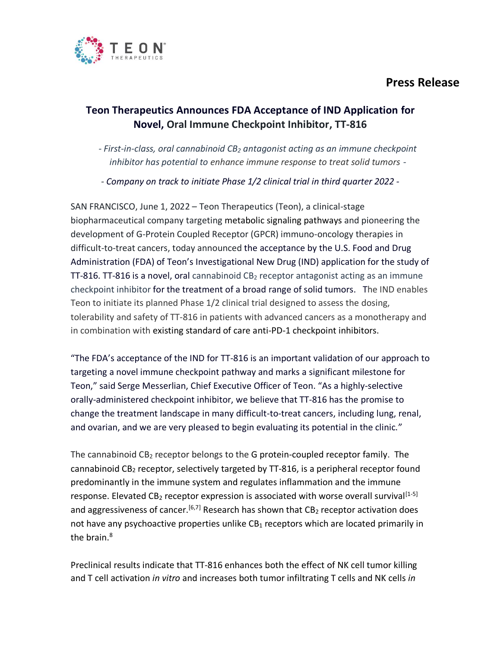# **Press Release**



## **Teon Therapeutics Announces FDA Acceptance of IND Application for Novel, Oral Immune Checkpoint Inhibitor, TT-816**

*- First-in-class, oral cannabinoid CB<sup>2</sup> antagonist acting as an immune checkpoint inhibitor has potential to enhance immune response to treat solid tumors -*

*- Company on track to initiate Phase 1/2 clinical trial in third quarter 2022 -*

SAN FRANCISCO, June 1, 2022 – Teon Therapeutics (Teon), a clinical-stage biopharmaceutical company targeting metabolic signaling pathways and pioneering the development of G-Protein Coupled Receptor (GPCR) immuno-oncology therapies in difficult-to-treat cancers, today announced the acceptance by the U.S. Food and Drug Administration (FDA) of Teon's Investigational New Drug (IND) application for the study of TT-816. TT-816 is a novel, oral cannabinoid  $CB<sub>2</sub>$  receptor antagonist acting as an immune checkpoint inhibitor for the treatment of a broad range of solid tumors. The IND enables Teon to initiate its planned Phase 1/2 clinical trial designed to assess the dosing, tolerability and safety of TT-816 in patients with advanced cancers as a monotherapy and in combination with existing standard of care anti-PD-1 checkpoint inhibitors.

"The FDA's acceptance of the IND for TT-816 is an important validation of our approach to targeting a novel immune checkpoint pathway and marks a significant milestone for Teon," said Serge Messerlian, Chief Executive Officer of Teon. "As a highly-selective orally-administered checkpoint inhibitor, we believe that TT-816 has the promise to change the treatment landscape in many difficult-to-treat cancers, including lung, renal, and ovarian, and we are very pleased to begin evaluating its potential in the clinic."

The cannabinoid  $CB_2$  receptor belongs to the G protein-coupled receptor family. The cannabinoid CB<sup>2</sup> receptor, selectively targeted by TT-816, is a peripheral receptor found predominantly in the immune system and regulates inflammation and the immune response. Elevated  $CB_2$  receptor expression is associated with worse overall survival<sup>[1-5]</sup> and aggressiveness of cancer.<sup>[6,7]</sup> Research has shown that CB<sub>2</sub> receptor activation does not have any psychoactive properties unlike  $CB_1$  receptors which are located primarily in the brain.<sup>8</sup>

Preclinical results indicate that TT-816 enhances both the effect of NK cell tumor killing and T cell activation *in vitro* and increases both tumor infiltrating T cells and NK cells *in*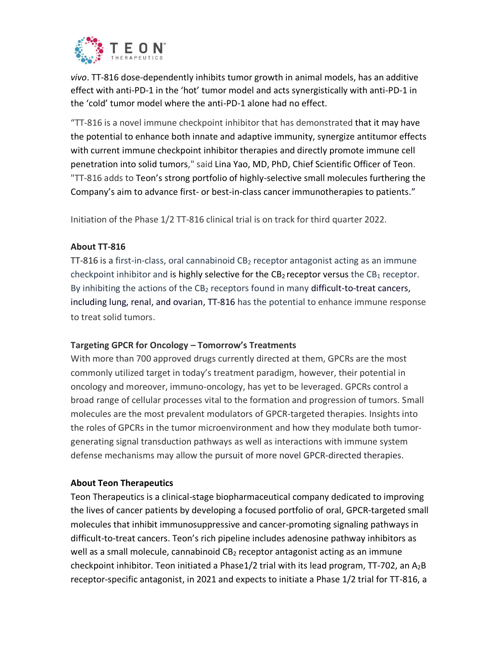

*vivo*. TT-816 dose-dependently inhibits tumor growth in animal models, has an additive effect with anti-PD-1 in the 'hot' tumor model and acts synergistically with anti-PD-1 in the 'cold' tumor model where the anti-PD-1 alone had no effect.

"TT-816 is a novel immune checkpoint inhibitor that has demonstrated that it may have the potential to enhance both innate and adaptive immunity, synergize antitumor effects with current immune checkpoint inhibitor therapies and directly promote immune cell penetration into solid tumors," said Lina Yao, MD, PhD, Chief Scientific Officer of Teon. "TT-816 adds to Teon's strong portfolio of highly-selective small molecules furthering the Company's aim to advance first- or best-in-class cancer immunotherapies to patients."

Initiation of the Phase 1/2 TT-816 clinical trial is on track for third quarter 2022.

### **About TT-816**

TT-816 is a first-in-class, oral cannabinoid CB<sub>2</sub> receptor antagonist acting as an immune checkpoint inhibitor and is highly selective for the  $CB_2$  receptor versus the  $CB_1$  receptor. By inhibiting the actions of the  $CB_2$  receptors found in many difficult-to-treat cancers, including lung, renal, and ovarian, TT-816 has the potential to enhance immune response to treat solid tumors.

#### **Targeting GPCR for Oncology – Tomorrow's Treatments**

With more than 700 approved drugs currently directed at them, GPCRs are the most commonly utilized target in today's treatment paradigm, however, their potential in oncology and moreover, immuno-oncology, has yet to be leveraged. GPCRs control a broad range of cellular processes vital to the formation and progression of tumors. Small molecules are the most prevalent modulators of GPCR-targeted therapies. Insights into the roles of GPCRs in the tumor microenvironment and how they modulate both tumorgenerating signal transduction pathways as well as interactions with immune system defense mechanisms may allow the pursuit of more novel GPCR-directed therapies.

#### **About Teon Therapeutics**

Teon Therapeutics is a clinical-stage biopharmaceutical company dedicated to improving the lives of cancer patients by developing a focused portfolio of oral, GPCR-targeted small molecules that inhibit immunosuppressive and cancer-promoting signaling pathways in difficult-to-treat cancers. Teon's rich pipeline includes adenosine pathway inhibitors as well as a small molecule, cannabinoid  $CB<sub>2</sub>$  receptor antagonist acting as an immune checkpoint inhibitor. Teon initiated a Phase1/2 trial with its lead program, TT-702, an  $A_2B$ receptor-specific antagonist, in 2021 and expects to initiate a Phase 1/2 trial for TT-816, a